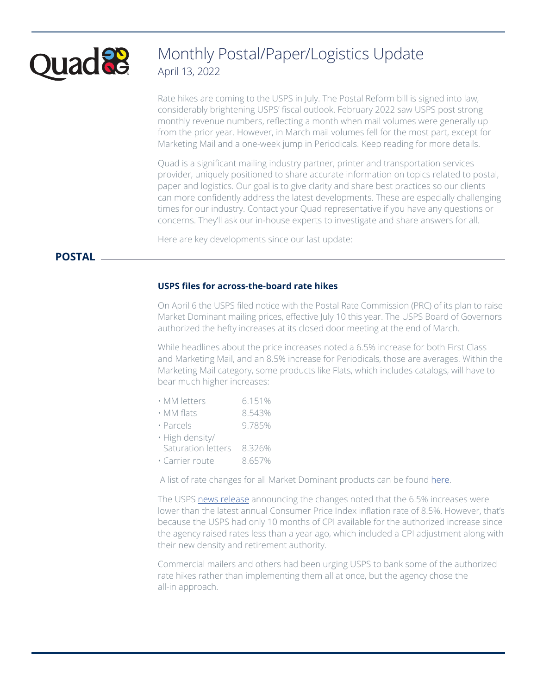

# Monthly Postal/Paper/Logistics Update April 13, 2022

Rate hikes are coming to the USPS in July. The Postal Reform bill is signed into law, considerably brightening USPS' fiscal outlook. February 2022 saw USPS post strong monthly revenue numbers, reflecting a month when mail volumes were generally up from the prior year. However, in March mail volumes fell for the most part, except for Marketing Mail and a one-week jump in Periodicals. Keep reading for more details.

Quad is a significant mailing industry partner, printer and transportation services provider, uniquely positioned to share accurate information on topics related to postal, paper and logistics. Our goal is to give clarity and share best practices so our clients can more confidently address the latest developments. These are especially challenging times for our industry. Contact your Quad representative if you have any questions or concerns. They'll ask our in-house experts to investigate and share answers for all.

Here are key developments since our last update:

## **POSTAL**

## **USPS files for across-the-board rate hikes**

On April 6 the USPS filed notice with the Postal Rate Commission (PRC) of its plan to raise Market Dominant mailing prices, effective July 10 this year. The USPS Board of Governors authorized the hefty increases at its closed door meeting at the end of March.

While headlines about the price increases noted a 6.5% increase for both First Class and Marketing Mail, and an 8.5% increase for Periodicals, those are averages. Within the Marketing Mail category, some products like Flats, which includes catalogs, will have to bear much higher increases:

- MM flats 8.543%
- Parcels 9.785%
- High density/
- Saturation letters 8.326%
- Carrier route 8.657%

A list of rate changes for all Market Dominant products can be found [here.](https://www.prc.gov/dockets/doclist/R2022-1/Notice-of-Rate-Adjustment_Market-Dominant-Products/)

The USPS [news release](https://about.usps.com/newsroom/national-releases/2022/0406-usps-new-prices-for-2022.htm) announcing the changes noted that the 6.5% increases were lower than the latest annual Consumer Price Index inflation rate of 8.5%. However, that's because the USPS had only 10 months of CPI available for the authorized increase since the agency raised rates less than a year ago, which included a CPI adjustment along with their new density and retirement authority.

Commercial mailers and others had been urging USPS to bank some of the authorized rate hikes rather than implementing them all at once, but the agency chose the all-in approach.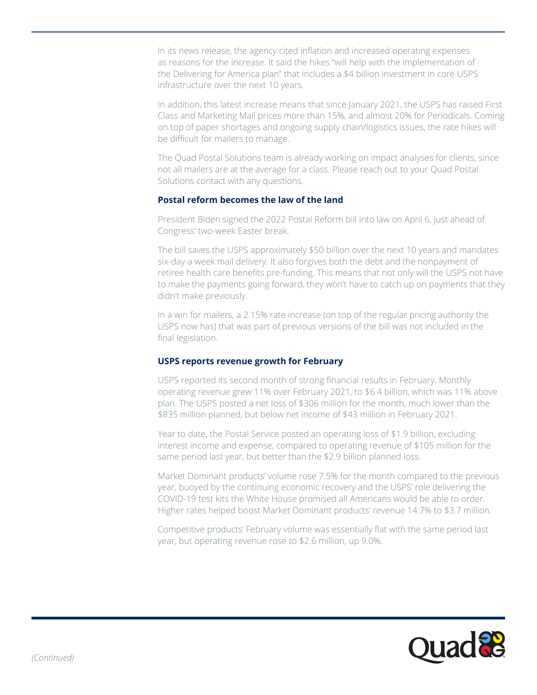In its news release, the agency cited inflation and increased operating expenses as reasons for the increase. It said the hikes "will help with the implementation of the Delivering for America plan" that includes a \$4 billion investment in core USPS infrastructure over the next 10 years.

In addition, this latest increase means that since January 2021, the USPS has raised First Class and Marketing Mail prices more than 15%, and almost 20% for Periodicals. Coming on top of paper shortages and ongoing supply chain/logistics issues, the rate hikes will be difficult for mailers to manage.

The Quad Postal Solutions team is already working on impact analyses for clients, since not all mailers are at the average for a class. Please reach out to your Quad Postal Solutions contact with any questions.

## **Postal reform becomes the law of the land**

President Biden signed the 2022 Postal Reform bill into law on April 6, just ahead of Congress' two-week Easter break.

The bill saves the USPS approximately \$50 billion over the next 10 years and mandates six-day-a week mail delivery. It also forgives both the debt and the nonpayment of retiree health care benefits pre-funding. This means that not only will the USPS not have to make the payments going forward, they won't have to catch up on payments that they didn't make previously.

In a win for mailers, a 2.15% rate increase (on top of the regular pricing authority the USPS now has) that was part of previous versions of the bill was not included in the final legislation.

#### **USPS reports revenue growth for February**

USPS reported its second month of strong financial results in February. Monthly operating revenue grew 11% over February 2021, to \$6.4 billion, which was 11% above plan. The USPS posted a net loss of \$306 million for the month, much lower than the \$835 million planned, but below net income of \$43 million in February 2021.

Year to date, the Postal Service posted an operating loss of \$1.9 billion, excluding interest income and expense, compared to operating revenue of \$105 million for the same period last year, but better than the \$2.9 billion planned loss.

Market Dominant products' volume rose 7.5% for the month compared to the previous year, buoyed by the continuing economic recovery and the USPS' role delivering the COVID-19 test kits the White House promised all Americans would be able to order. Higher rates helped boost Market Dominant products' revenue 14.7% to \$3.7 million.

Competitive products' February volume was essentially flat with the same period last year, but operating revenue rose to \$2.6 million, up 9.0%.

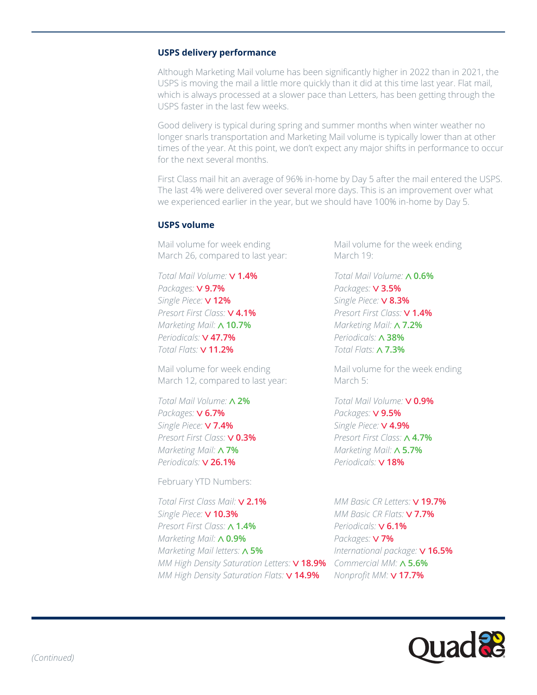#### **USPS delivery performance**

Although Marketing Mail volume has been significantly higher in 2022 than in 2021, the USPS is moving the mail a little more quickly than it did at this time last year. Flat mail, which is always processed at a slower pace than Letters, has been getting through the USPS faster in the last few weeks.

Good delivery is typical during spring and summer months when winter weather no longer snarls transportation and Marketing Mail volume is typically lower than at other times of the year. At this point, we don't expect any major shifts in performance to occur for the next several months.

First Class mail hit an average of 96% in-home by Day 5 after the mail entered the USPS. The last 4% were delivered over several more days. This is an improvement over what we experienced earlier in the year, but we should have 100% in-home by Day 5.

#### **USPS volume**

Mail volume for week ending March 26, compared to last year:

*Total Mail Volume:* **1.4%** *Packages:* **9.7%**  *Single Piece:* **12%** *Presort First Class:* **4.1%** *Marketing Mail:* **10.7%** *Periodicals:* **47.7%** *Total Flats:* **11.2%**

Mail volume for week ending March 12, compared to last year:

*Total Mail Volume:* **2%** *Packages:* **6.7%**  *Single Piece:* **7.4%** *Presort First Class:* **0.3%** *Marketing Mail:* **7%** *Periodicals:* **26.1%**

February YTD Numbers:

*Total First Class Mail:* **2.1%** *Single Piece:* **10.3%** *Presort First Class:* **1.4%** *Marketing Mail:* **0.9%** *Marketing Mail letters:* **5%** *MM High Density Saturation Letters:* **18.9%** *Commercial MM:* **5.6%** *MM High Density Saturation Flats:* **14.9%**

Mail volume for the week ending March 19:

*Total Mail Volume:* **0.6%** *Packages:* **3.5%**  *Single Piece:* **8.3%** *Presort First Class:* **1.4%** *Marketing Mail:* **7.2%** *Periodicals:* **38%** *Total Flats:* **7.3%**

Mail volume for the week ending March 5:

*Total Mail Volume:* **0.9%** *Packages:* **9.5%**  *Single Piece:* **4.9%** *Presort First Class:* **4.7%** *Marketing Mail:* **5.7%** *Periodicals:* **18%**

*MM Basic CR Letters:* **19.7%** *MM Basic CR Flats:* **7.7%** *Periodicals:* **6.1%** *Packages:* **7%** *International package:* **16.5%** *Nonprofit MM:* **17.7%**

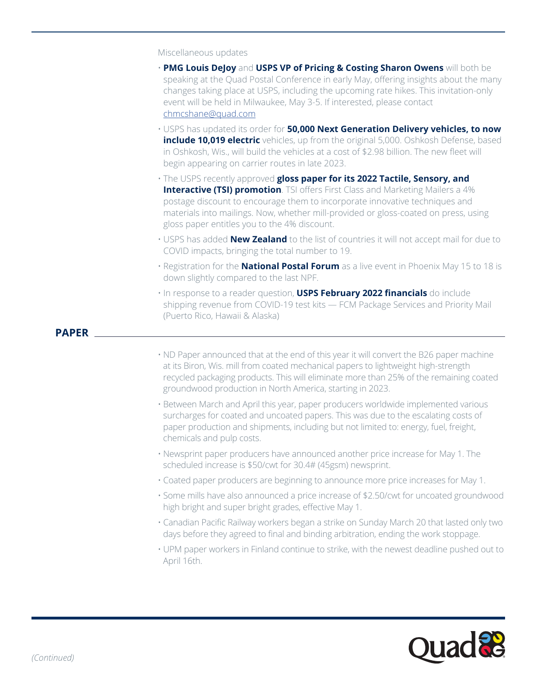Miscellaneous updates

- **PMG Louis DeJoy** and **USPS VP of Pricing & Costing Sharon Owens** will both be speaking at the Quad Postal Conference in early May, offering insights about the many changes taking place at USPS, including the upcoming rate hikes. This invitation-only event will be held in Milwaukee, May 3-5. If interested, please contact [chmcshane@quad.com](mailto:chmcshane%40quad.com?subject=)
- USPS has updated its order for **50,000 Next Generation Delivery vehicles, to now include 10,019 electric** vehicles, up from the original 5,000. Oshkosh Defense, based in Oshkosh, Wis., will build the vehicles at a cost of \$2.98 billion. The new fleet will begin appearing on carrier routes in late 2023.
- The USPS recently approved **gloss paper for its 2022 Tactile, Sensory, and Interactive (TSI) promotion**. TSI offers First Class and Marketing Mailers a 4% postage discount to encourage them to incorporate innovative techniques and materials into mailings. Now, whether mill-provided or gloss-coated on press, using gloss paper entitles you to the 4% discount.
- USPS has added **New Zealand** to the list of countries it will not accept mail for due to COVID impacts, bringing the total number to 19.
- Registration for the **National Postal Forum** as a live event in Phoenix May 15 to 18 is down slightly compared to the last NPF.
- In response to a reader question, **USPS February 2022 financials** do include shipping revenue from COVID-19 test kits — FCM Package Services and Priority Mail (Puerto Rico, Hawaii & Alaska)

## **PAPER**

- ND Paper announced that at the end of this year it will convert the B26 paper machine at its Biron, Wis. mill from coated mechanical papers to lightweight high-strength recycled packaging products. This will eliminate more than 25% of the remaining coated groundwood production in North America, starting in 2023.
- Between March and April this year, paper producers worldwide implemented various surcharges for coated and uncoated papers. This was due to the escalating costs of paper production and shipments, including but not limited to: energy, fuel, freight, chemicals and pulp costs.
- Newsprint paper producers have announced another price increase for May 1. The scheduled increase is \$50/cwt for 30.4# (45gsm) newsprint.
- Coated paper producers are beginning to announce more price increases for May 1.
- Some mills have also announced a price increase of \$2.50/cwt for uncoated groundwood high bright and super bright grades, effective May 1.
- Canadian Pacific Railway workers began a strike on Sunday March 20 that lasted only two days before they agreed to final and binding arbitration, ending the work stoppage.
- UPM paper workers in Finland continue to strike, with the newest deadline pushed out to April 16th.